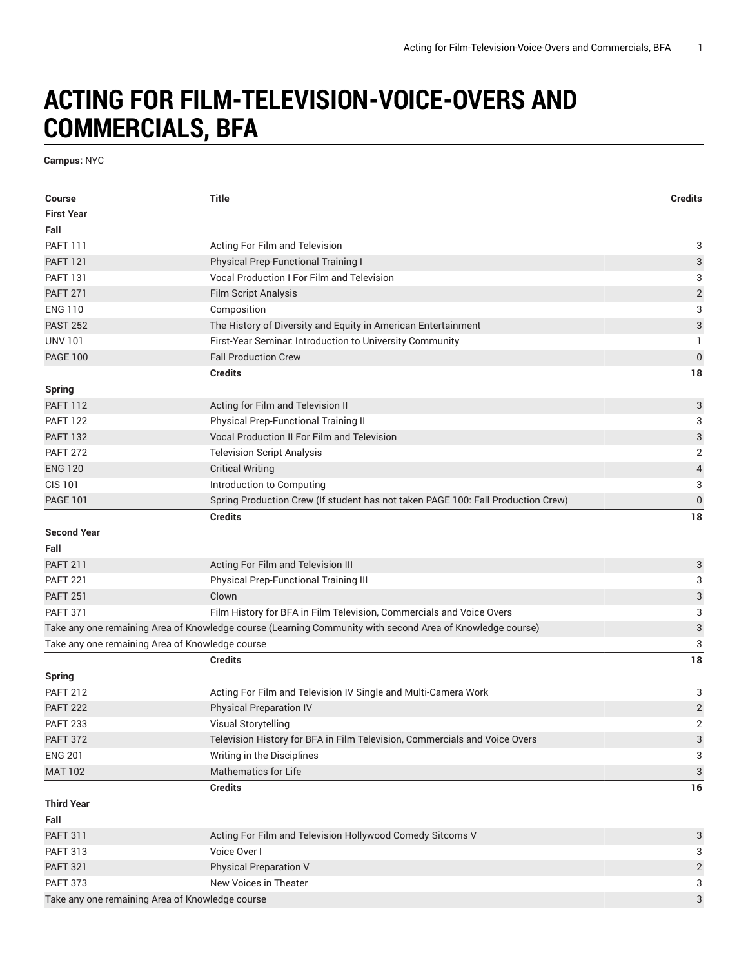## **ACTING FOR FILM-TELEVISION-VOICE-OVERS AND COMMERCIALS, BFA**

**Campus:** NYC

| <b>Course</b>                                   | <b>Title</b>                                                                                              | <b>Credits</b>            |
|-------------------------------------------------|-----------------------------------------------------------------------------------------------------------|---------------------------|
| <b>First Year</b>                               |                                                                                                           |                           |
| Fall<br><b>PAFT 111</b>                         |                                                                                                           |                           |
| <b>PAFT 121</b>                                 | Acting For Film and Television<br><b>Physical Prep-Functional Training I</b>                              | 3<br>3                    |
| <b>PAFT 131</b>                                 | <b>Vocal Production I For Film and Television</b>                                                         |                           |
| <b>PAFT 271</b>                                 |                                                                                                           | 3                         |
| <b>ENG 110</b>                                  | <b>Film Script Analysis</b>                                                                               | $\sqrt{2}$                |
|                                                 | Composition                                                                                               | 3                         |
| <b>PAST 252</b>                                 | The History of Diversity and Equity in American Entertainment                                             | 3                         |
| <b>UNV 101</b>                                  | First-Year Seminar. Introduction to University Community                                                  | 1                         |
| <b>PAGE 100</b>                                 | <b>Fall Production Crew</b>                                                                               | $\boldsymbol{0}$          |
|                                                 | <b>Credits</b>                                                                                            | 18                        |
| <b>Spring</b>                                   |                                                                                                           |                           |
| <b>PAFT 112</b>                                 | Acting for Film and Television II                                                                         | 3                         |
| <b>PAFT 122</b>                                 | Physical Prep-Functional Training II                                                                      | 3                         |
| <b>PAFT 132</b>                                 | <b>Vocal Production II For Film and Television</b>                                                        | 3                         |
| <b>PAFT 272</b>                                 | <b>Television Script Analysis</b>                                                                         | $\mathbf 2$               |
| <b>ENG 120</b>                                  | <b>Critical Writing</b>                                                                                   | $\sqrt{4}$                |
| <b>CIS 101</b>                                  | Introduction to Computing                                                                                 | 3                         |
| <b>PAGE 101</b>                                 | Spring Production Crew (If student has not taken PAGE 100: Fall Production Crew)                          | $\mathbf 0$               |
|                                                 | <b>Credits</b>                                                                                            | 18                        |
| <b>Second Year</b>                              |                                                                                                           |                           |
| Fall                                            |                                                                                                           |                           |
| <b>PAFT 211</b>                                 | Acting For Film and Television III                                                                        | 3                         |
| <b>PAFT 221</b>                                 | Physical Prep-Functional Training III                                                                     | 3                         |
| <b>PAFT 251</b>                                 | Clown                                                                                                     | $\ensuremath{\mathsf{3}}$ |
| <b>PAFT 371</b>                                 | Film History for BFA in Film Television, Commercials and Voice Overs                                      | 3                         |
|                                                 | Take any one remaining Area of Knowledge course (Learning Community with second Area of Knowledge course) | $\ensuremath{\mathsf{3}}$ |
| Take any one remaining Area of Knowledge course |                                                                                                           | 3                         |
|                                                 | <b>Credits</b>                                                                                            | 18                        |
| <b>Spring</b>                                   |                                                                                                           |                           |
| <b>PAFT 212</b>                                 | Acting For Film and Television IV Single and Multi-Camera Work                                            | 3                         |
| <b>PAFT 222</b>                                 | <b>Physical Preparation IV</b>                                                                            | $\overline{\mathbf{c}}$   |
| <b>PAFT 233</b>                                 | Visual Storytelling                                                                                       | 2                         |
| <b>PAFT 372</b>                                 | Television History for BFA in Film Television, Commercials and Voice Overs                                | 3                         |
| <b>ENG 201</b>                                  | Writing in the Disciplines                                                                                | 3                         |
| <b>MAT 102</b>                                  | <b>Mathematics for Life</b>                                                                               | $\ensuremath{\mathsf{3}}$ |
|                                                 | <b>Credits</b>                                                                                            | 16                        |
| <b>Third Year</b>                               |                                                                                                           |                           |
| Fall                                            |                                                                                                           |                           |
| <b>PAFT 311</b>                                 | Acting For Film and Television Hollywood Comedy Sitcoms V                                                 | $\ensuremath{\mathsf{3}}$ |
| <b>PAFT 313</b>                                 | Voice Over I                                                                                              | 3                         |
| <b>PAFT 321</b>                                 | Physical Preparation V                                                                                    | $\sqrt{2}$                |
| <b>PAFT 373</b>                                 | New Voices in Theater                                                                                     | 3                         |
| Take any one remaining Area of Knowledge course |                                                                                                           | $\mathbf{3}$              |